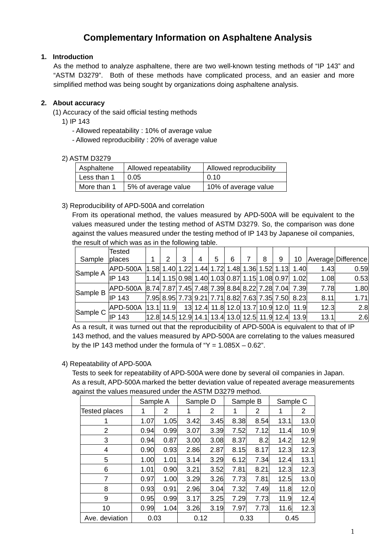# **Complementary Information on Asphaltene Analysis**

# **1. Introduction**

As the method to analyze asphaltene, there are two well-known testing methods of "IP 143" and "ASTM D3279". Both of these methods have complicated process, and an easier and more simplified method was being sought by organizations doing asphaltene analysis.

# **2. About accuracy**

- (1) Accuracy of the said official testing methods
	- 1) IP 143
		- Allowed repeatability : 10% of average value
		- Allowed reproducibility : 20% of average value

#### 2) ASTM D3279

| Asphaltene  | Allowed repeatability | Allowed reproducibility |  |  |  |  |
|-------------|-----------------------|-------------------------|--|--|--|--|
| Less than 1 | 0.05                  | 0.10                    |  |  |  |  |
| More than 1 | 5% of average value   | 10% of average value    |  |  |  |  |

#### 3) Reproducibility of APD-500A and correlation

 From its operational method, the values measured by APD-500A will be equivalent to the values measured under the testing method of ASTM D3279. So, the comparison was done against the values measured under the testing method of IP 143 by Japanese oil companies, the result of which was as in the following table.

|          | Tested   |             |   |   |   |                                                      |   |   |                                                                                                                       |      |                    |
|----------|----------|-------------|---|---|---|------------------------------------------------------|---|---|-----------------------------------------------------------------------------------------------------------------------|------|--------------------|
| Sample   | places   | 2           | 3 | 4 | 5 | 6                                                    | 8 | 9 | 10                                                                                                                    |      | Average Difference |
| Sample A | APD-500A |             |   |   |   |                                                      |   |   | $\vert 1.58 \vert 1.40 \vert 1.22 \vert 1.44 \vert 1.72 \vert 1.48 \vert 1.36 \vert 1.52 \vert 1.13 \vert 1.40 \vert$ | 1.43 | 0.59               |
|          | IP 143   |             |   |   |   | 1.14  1.15  0.98  1.40  1.03  0.87  1.15  1.08  0.97 |   |   | 1.02                                                                                                                  | 1.08 | 0.53               |
| Sample B | APD-500A |             |   |   |   |                                                      |   |   | 8.74 7.87 7.45 7.48 7.39 8.84 8.22 7.28 7.04 7.39                                                                     | 7.78 | 1.80               |
|          | IP 143   |             |   |   |   |                                                      |   |   | 7.95  8.95  7.73  9.21  7.71  8.82  7.63  7.35  7.50  8.23                                                            | 8.11 | 1.71               |
| Sample C | APD-500A | $13.1$ 11.9 |   |   |   |                                                      |   |   | 13 12.4 11.8 12.0 13.7 10.9 12.0 11.9                                                                                 | 12.3 | 2.8                |
|          | IP 143   |             |   |   |   |                                                      |   |   | 12.8 14.5 12.9 14.1 13.4 13.0 12.5 11.9 12.4 13.9                                                                     | 13.1 | 2.6                |

As a result, it was turned out that the reproducibility of APD-500A is equivalent to that of IP 143 method, and the values measured by APD-500A are correlating to the values measured by the IP 143 method under the formula of " $Y = 1.085X - 0.62$ ".

## 4) Repeatability of APD-500A

 Tests to seek for repeatability of APD-500A were done by several oil companies in Japan. As a result, APD-500A marked the better deviation value of repeated average measurements against the values measured under the ASTM D3279 method.

|                      | Sample A |      |      | Sample D |      | Sample B | Sample C |      |  |
|----------------------|----------|------|------|----------|------|----------|----------|------|--|
| <b>Tested places</b> | 1        | 2    | 1    | 2        | 1    | 2        | 1        | 2    |  |
|                      | 1.07     | 1.05 | 3.42 | 3.45     | 8.38 | 8.54     | 13.1     | 13.0 |  |
| 2                    | 0.94     | 0.99 | 3.07 | 3.39     | 7.52 | 7.12     | 11.4     | 10.9 |  |
| 3                    | 0.94     | 0.87 | 3.00 | 3.08     | 8.37 | 8.2      | 14.2     | 12.9 |  |
| 4                    | 0.90     | 0.93 | 2.86 | 2.87     | 8.15 | 8.17     | 12.3     | 12.3 |  |
| 5                    | 1.00     | 1.01 | 3.14 | 3.29     | 6.12 | 7.34     | 12.4     | 13.1 |  |
| 6                    | 1.01     | 0.90 | 3.21 | 3.52     | 7.81 | 8.21     | 12.3     | 12.3 |  |
| 7                    | 0.97     | 1.00 | 3.29 | 3.26     | 7.73 | 7.81     | 12.5     | 13.0 |  |
| 8                    | 0.93     | 0.91 | 2.96 | 3.04     | 7.32 | 7.49     | 11.8     | 12.0 |  |
| 9                    | 0.95     | 0.99 | 3.17 | 3.25     | 7.29 | 7.73     | 11.9     | 12.4 |  |
| 10                   | 0.99     | 1.04 | 3.26 | 3.19     | 7.97 | 7.73     | 11.6     | 12.3 |  |
| Ave. deviation       | 0.03     |      |      | 0.12     |      | 0.33     | 0.45     |      |  |